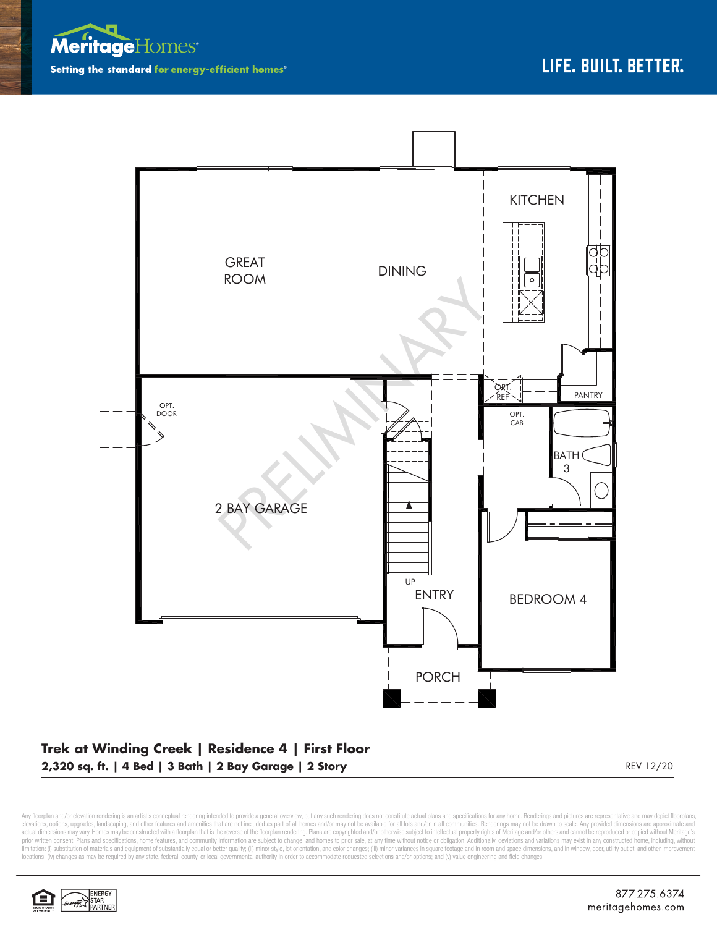



## **Trek at Winding Creek | Residence 4 | First Floor 2,320 sq. ft. | 4 Bed | 3 Bath | 2 Bay Garage | 2 Story** REV 12/20

Any floorplan and/or elevation rendering is an artist's conceptual rendering intended to provide a general overview, but any such rendering does not constitute actual plans and specifications for any home. Renderings and p elevations, options, upgrades, landscaping, and other features and amenities that are not included as part of all homes and/or may not be available for all lots and/or in all communities. Renderings may not be drawn to sca limitation: (i) substitution of materials and equipment of substantially equal or better quality; (ii) minor style, lot orientation, and color changes; (iii) minor variances in square footage and in room and space dimensio locations; (iv) changes as may be required by any state, federal, county, or local governmental authority in order to accommodate requested selections and/or options; and (v) value engineering and field changes.